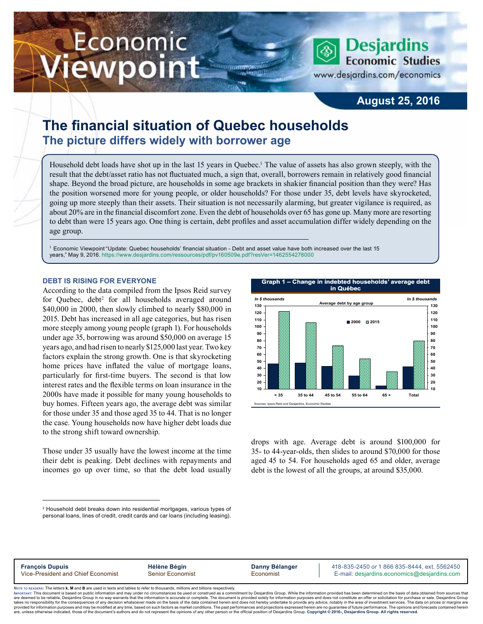# Economic ewpoint

**Desjardins Economic Studies** 

www.desjardins.com/economics

## **August 25, 2016**

# **The financial situation of Quebec households The picture differs widely with borrower age**

Household debt loads have shot up in the last 15 years in Quebec.<sup>1</sup> The value of assets has also grown steeply, with the result that the debt/asset ratio has not fluctuated much, a sign that, overall, borrowers remain in relatively good financial shape. Beyond the broad picture, are households in some age brackets in shakier financial position than they were? Has the position worsened more for young people, or older households? For those under 35, debt levels have skyrocketed, going up more steeply than their assets. Their situation is not necessarily alarming, but greater vigilance is required, as about 20% are in the financial discomfort zone. Even the debt of households over 65 has gone up. Many more are resorting to debt than were 15 years ago. One thing is certain, debt profiles and asset accumulation differ widely depending on the age group.

m

1 Economic Viewpoint "Update: Quebec households' financial situation - Debt and asset value have both increased over the last 15 years," May 9, 2016. [https://www.desjardins.com/ressources/pdf/pv160509e.pdf?resVer=1462554278000](http://www.desjardins.com/ressources/pdf/pv160509e.pdf?resVer=1462554278000)

#### **DEBT IS RISING FOR EVERYONE**

According to the data compiled from the Ipsos Reid survey for Quebec, debt<sup>2</sup> for all households averaged around \$40,000 in 2000, then slowly climbed to nearly \$80,000 in 2015. Debt has increased in all age categories, but has risen more steeply among young people (graph 1). For households under age 35, borrowing was around \$50,000 on average 15 years ago, and had risen to nearly \$125,000 last year. Two key factors explain the strong growth. One is that skyrocketing home prices have inflated the value of mortgage loans, particularly for first-time buyers. The second is that low interest rates and the flexible terms on loan insurance in the 2000s have made it possible for many young households to buy homes. Fifteen years ago, the average debt was similar for those under 35 and those aged 35 to 44. That is no longer the case. Young households now have higher debt loads due to the strong shift toward ownership.

Those under 35 usually have the lowest income at the time their debt is peaking. Debt declines with repayments and incomes go up over time, so that the debt load usually



drops with age. Average debt is around \$100,000 for 35- to 44-year-olds, then slides to around \$70,000 for those aged 45 to 54. For households aged 65 and older, average debt is the lowest of all the groups, at around \$35,000.

**François Dupuis**<br> **François Dupuis Hélène Bégin Danny Bélanger** 418-835-2450 or 1 866 835-8444, ext. 5562450<br> **Fermail:** desiardins.comomics@desiardins.com **Senior Economist Economist E-mail:** desiardins.economics E-mail: desjardins.economics@desjardins.com

Noте то келоекs: The letters **k, M** and **B** are used in texts and tables to refer to thousands, millions and billions respectively.<br>Імроктлит: This document is based on public information and may under no circumstances be are deemed to be reliable. Desiardins Group in no way warrants that the information is accurate or complete. The document is provided solely for information purposes and does not constitute an offer or solicitation for pur takes no responsibility for the consequences of any decision whatsoever made on the basis of the data contained herein and does not hereby undertake to provide any advice, notably in the area of investment services. The da are, unless otherwise indicated, those of the document's authors and do not represent the opinions of any other person or the official position of Desjardins Group. Copyright © 2016-, Desjardins Group. All rights reserved.

<sup>2</sup> Household debt breaks down into residential mortgages, various types of personal loans, lines of credit, credit cards and car loans (including leasing).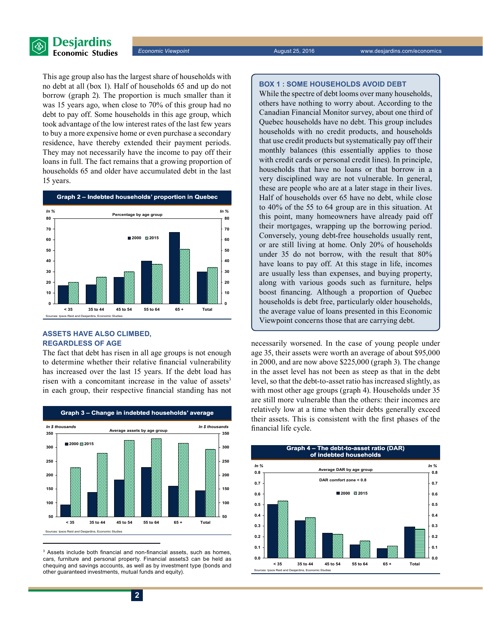

This age group also has the largest share of households with no debt at all (box 1). Half of households 65 and up do not borrow (graph 2). The proportion is much smaller than it was 15 years ago, when close to 70% of this group had no debt to pay off. Some households in this age group, which took advantage of the low interest rates of the last few years to buy a more expensive home or even purchase a secondary residence, have thereby extended their payment periods. They may not necessarily have the income to pay off their loans in full. The fact remains that a growing proportion of households 65 and older have accumulated debt in the last 15 years.



### **ASSETS HAVE ALSO CLIMBED, REGARDLESS OF AGE**

The fact that debt has risen in all age groups is not enough to determine whether their relative financial vulnerability has increased over the last 15 years. If the debt load has risen with a concomitant increase in the value of assets<sup>3</sup> in each group, their respective financial standing has not



3 Assets include both financial and non-financial assets, such as homes, cars, furniture and personal property. Financial assets3 can be held as chequing and savings accounts, as well as by investment type (bonds and other guaranteed investments, mutual funds and equity).

While the spectre of debt looms over many households, others have nothing to worry about. According to the Canadian Financial Monitor survey, about one third of Quebec households have no debt. This group includes households with no credit products, and households that use credit products but systematically pay off their monthly balances (this essentially applies to those with credit cards or personal credit lines). In principle, households that have no loans or that borrow in a very disciplined way are not vulnerable. In general, these are people who are at a later stage in their lives. Half of households over 65 have no debt, while close to 40% of the 55 to 64 group are in this situation. At this point, many homeowners have already paid off their mortgages, wrapping up the borrowing period. Conversely, young debt-free households usually rent, or are still living at home. Only 20% of households under 35 do not borrow, with the result that 80% have loans to pay off. At this stage in life, incomes are usually less than expenses, and buying property, along with various goods such as furniture, helps boost financing. Although a proportion of Quebec households is debt free, particularly older households, the average value of loans presented in this Economic Viewpoint concerns those that are carrying debt.

necessarily worsened. In the case of young people under age 35, their assets were worth an average of about \$95,000 in 2000, and are now above \$225,000 (graph 3). The change in the asset level has not been as steep as that in the debt level, so that the debt-to-asset ratio has increased slightly, as with most other age groups (graph 4). Households under 35 are still more vulnerable than the others: their incomes are relatively low at a time when their debts generally exceed their assets. This is consistent with the first phases of the financial life cycle.

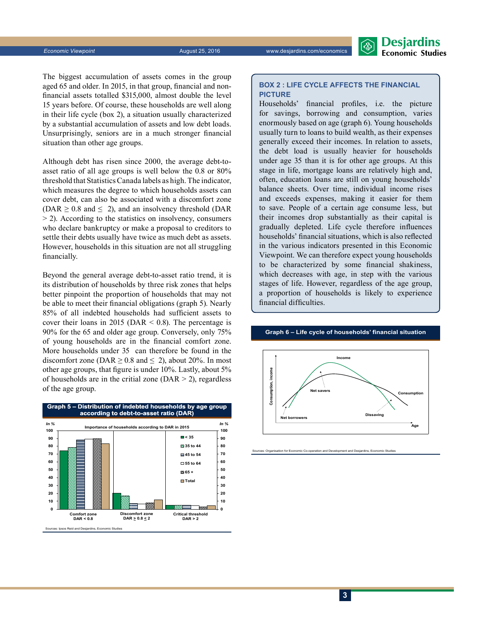*Economic Viewpoint* August 25, 2016 www.desjardins.com/economics



The biggest accumulation of assets comes in the group aged 65 and older. In 2015, in that group, financial and nonfinancial assets totalled \$315,000, almost double the level 15 years before. Of course, these households are well along in their life cycle (box 2), a situation usually characterized by a substantial accumulation of assets and low debt loads. Unsurprisingly, seniors are in a much stronger financial situation than other age groups.

Although debt has risen since 2000, the average debt-toasset ratio of all age groups is well below the 0.8 or 80% threshold that Statistics Canada labels as high. The indicator, which measures the degree to which households assets can cover debt, can also be associated with a discomfort zone (DAR  $\geq$  0.8 and  $\leq$  2), and an insolvency threshold (DAR  $>$  2). According to the statistics on insolvency, consumers who declare bankruptcy or make a proposal to creditors to settle their debts usually have twice as much debt as assets. However, households in this situation are not all struggling financially.

Beyond the general average debt-to-asset ratio trend, it is its distribution of households by three risk zones that helps better pinpoint the proportion of households that may not be able to meet their financial obligations (graph 5). Nearly 85% of all indebted households had sufficient assets to cover their loans in 2015 (DAR  $\leq$  0.8). The percentage is 90% for the 65 and older age group. Conversely, only 75% of young households are in the financial comfort zone. More households under 35 can therefore be found in the discomfort zone (DAR  $\geq$  0.8 and  $\leq$  2), about 20%. In most other age groups, that figure is under 10%. Lastly, about 5% of households are in the critial zone ( $\text{DAR} > 2$ ), regardless of the age group.



#### **BOX 2 : LIFE CYCLE AFFECTS THE FINANCIAL PICTURE**

Households' financial profiles, i.e. the picture for savings, borrowing and consumption, varies enormously based on age (graph 6). Young households usually turn to loans to build wealth, as their expenses generally exceed their incomes. In relation to assets, the debt load is usually heavier for households under age 35 than it is for other age groups. At this stage in life, mortgage loans are relatively high and, often, education loans are still on young households' balance sheets. Over time, individual income rises and exceeds expenses, making it easier for them to save. People of a certain age consume less, but their incomes drop substantially as their capital is gradually depleted. Life cycle therefore influences households' financial situations, which is also reflected in the various indicators presented in this Economic Viewpoint. We can therefore expect young households to be characterized by some financial shakiness, which decreases with age, in step with the various stages of life. However, regardless of the age group, a proportion of households is likely to experience financial difficulties.

#### **Graph 6 – Life cycle of households' financial situation**



Sources: Organisation for Economic Co-operation and Development and Desjardins, Economic Studies